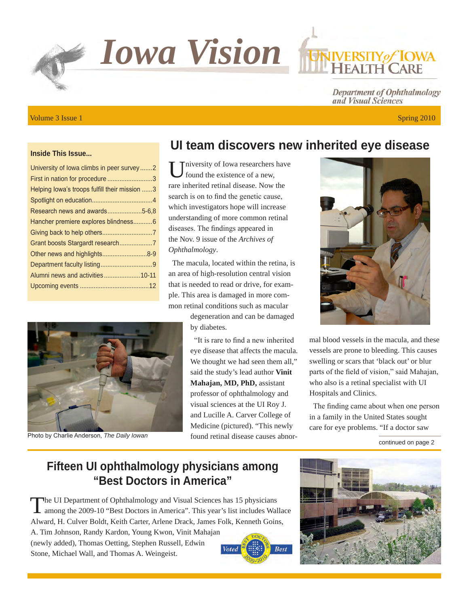*Iowa Vision*

# Volume 3 Issue 1 Spring 2010

#### **Inside This Issue...**

| University of lowa climbs in peer survey2     |
|-----------------------------------------------|
| First in nation for procedure 3               |
| Helping lowa's troops fulfill their mission 3 |
|                                               |
| Research news and awards5-6,8                 |
| Hancher premiere explores blindness6          |
|                                               |
|                                               |
| Other news and highlights8-9                  |
|                                               |
| Alumni news and activities 10-11              |
|                                               |
|                                               |



Photo by Charlie Anderson, *The Daily Iowan*

# **UI team discovers new inherited eye disease**

Iniversity of Iowa researchers have found the existence of a new, rare inherited retinal disease. Now the search is on to find the genetic cause, which investigators hope will increase understanding of more common retinal diseases. The findings appeared in the Nov. 9 issue of the *Archives of Ophthalmology*.

The macula, located within the retina, is an area of high-resolution central vision that is needed to read or drive, for example. This area is damaged in more common retinal conditions such as macular

> degeneration and can be damaged by diabetes.

"It is rare to find a new inherited eye disease that affects the macula. We thought we had seen them all," said the study's lead author **Vinit Mahajan, MD, PhD,** assistant professor of ophthalmology and visual sciences at the UI Roy J. and Lucille A. Carver College of Medicine (pictured). "This newly found retinal disease causes abnor-



**ERSITY** of **IOWA** 

Department of Ophthalmology

and Visual Sciences

mal blood vessels in the macula, and these vessels are prone to bleeding. This causes swelling or scars that 'black out' or blur parts of the field of vision," said Mahajan, who also is a retinal specialist with UI Hospitals and Clinics.

The finding came about when one person in a family in the United States sought care for eye problems. "If a doctor saw

#### continued on page 2

### **Fifteen UI ophthalmology physicians among "Best Doctors in America"**

The UI Department of Ophthalmology and Visual Sciences has 15 physicians<br>among the 2009-10 "Best Doctors in America". This year's list includes Wallace Alward, H. Culver Boldt, Keith Carter, Arlene Drack, James Folk, Kenneth Goins, A. Tim Johnson, Randy Kardon, Young Kwon, Vinit Mahajan

(newly added), Thomas Oetting, Stephen Russell, Edwin Stone, Michael Wall, and Thomas A. Weingeist.



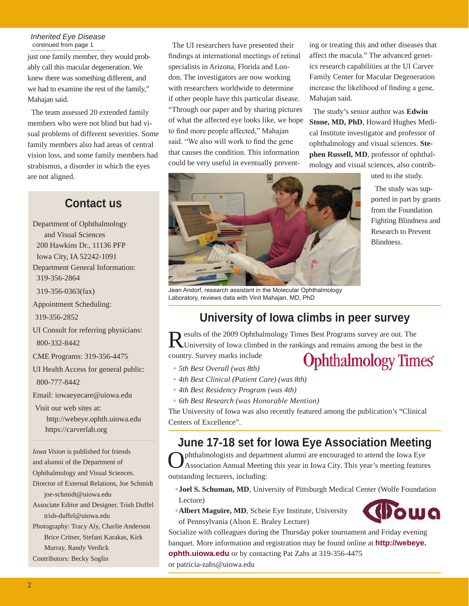#### *Inherited Eye Disease*  continued from page 1

just one family member, they would probably call this macular degeneration. We knew there was something different, and we had to examine the rest of the family," Mahajan said.

The team assessed 20 extended family members who were not blind but had visual problems of different severities. Some family members also had areas of central vision loss, and some family members had strabismus, a disorder in which the eyes are not aligned.

#### **Contact us**

Department of Ophthalmology and Visual Sciences 200 Hawkins Dr., 11136 PFP Iowa City, IA 52242-1091 Department General Information: 319-356-2864 319-356-0363(fax) Appointment Scheduling: 319-356-2852 UI Consult for referring physicians: 800-332-8442 CME Programs: 319-356-4475 UI Health Access for general public: 800-777-8442 Email: iowaeyecare@uiowa.edu Visit our web sites at: http://webeye.ophth.uiowa.edu https://carverlab.org *Iowa Vision* is published for friends and alumni of the Department of Ophthalmology and Visual Sciences. Director of External Relations, Joe Schmidt joe-schmidt@uiowa.edu Associate Editor and Designer, Trish Duffel trish-duffel@uiowa.edu Photography: Tracy Aly, Charlie Anderson Brice Critser, Stefani Karakas, Kirk Murray, Randy Verdick Contributors: Becky Soglin

The UI researchers have presented their findings at international meetings of retinal specialists in Arizona, Florida and London. The investigators are now working with researchers worldwide to determine if other people have this particular disease. "Through our paper and by sharing pictures of what the affected eye looks like, we hope to find more people affected," Mahajan said. "We also will work to find the gene that causes the condition. This information could be very useful in eventually preventing or treating this and other diseases that affect the macula." The advanced genetics research capabilities at the UI Carver Family Center for Macular Degeneration increase the likelihood of finding a gene, Mahajan said.

The study's senior author was **Edwin Stone, MD, PhD**, Howard Hughes Medical Institute investigator and professor of ophthalmology and visual sciences. **Stephen Russell, MD**, professor of ophthalmology and visual sciences, also contrib-

uted to the study.

The study was supported in part by grants from the Foundation Fighting Blindness and Research to Prevent Blindness.

ша



Laboratory, reviews data with Vinit Mahajan, MD, PhD

# **University of Iowa climbs in peer survey**

Results of the 2009 Ophthalmology Times Best Programs survey are out. The University of Iowa climbed in the rankings and remains among the best in the

country. Survey marks include

- *5th Best Overall (was 8th)*
- *4th Best Clinical (Patient Care) (was 8th)*
- *4th Best Residency Program (was 4th)*
- *6th Best Research (was Honorable Mention)*

The University of Iowa was also recently featured among the publication's "Clinical Centers of Excellence".

# **June 17-18 set for Iowa Eye Association Meeting**

phthalmologists and department alumni are encouraged to attend the Iowa Eye Association Annual Meeting this year in Iowa City. This year's meeting features outstanding lecturers, including:

◦**Joel S. Schuman, MD**, University of Pittsburgh Medical Center (Wolfe Foundation Lecture)

◦**Albert Maguire, MD**, Scheie Eye Institute, University of Pennsylvania (Alson E. Braley Lecture)

Socialize with colleagues during the Thursday poker tournament and Friday evening banquet. More information and registration may be found online at **http://webeye.**

**ophth.uiowa.edu** or by contacting Pat Zahs at 319-356-4475

or patricia-zahs@uiowa.edu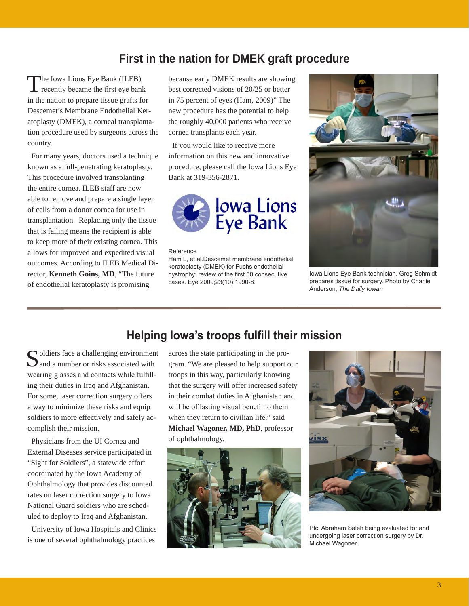# **First in the nation for DMEK graft procedure**

The Iowa Lions Eye Bank (ILEB)<br>recently became the first eye bank in the nation to prepare tissue grafts for Descemet's Membrane Endothelial Keratoplasty (DMEK), a corneal transplantation procedure used by surgeons across the country.

For many years, doctors used a technique known as a full-penetrating keratoplasty. This procedure involved transplanting the entire cornea. ILEB staff are now able to remove and prepare a single layer of cells from a donor cornea for use in transplantation. Replacing only the tissue that is failing means the recipient is able to keep more of their existing cornea. This allows for improved and expedited visual outcomes. According to ILEB Medical Director, **Kenneth Goins, MD**, "The future of endothelial keratoplasty is promising

because early DMEK results are showing best corrected visions of 20/25 or better in 75 percent of eyes (Ham, 2009)" The new procedure has the potential to help the roughly 40,000 patients who receive cornea transplants each year.

If you would like to receive more information on this new and innovative procedure, please call the Iowa Lions Eye Bank at 319-356-2871.



#### Reference

Ham L, et al.Descemet membrane endothelial keratoplasty (DMEK) for Fuchs endothelial dystrophy: review of the first 50 consecutive cases. Eye 2009;23(10):1990-8.



Iowa Lions Eye Bank technician, Greg Schmidt prepares tissue for surgery. Photo by Charlie Anderson, *The Daily Iowan*

 $\bigcap$  oldiers face a challenging environment and a number or risks associated with wearing glasses and contacts while fulfilling their duties in Iraq and Afghanistan. For some, laser correction surgery offers a way to minimize these risks and equip soldiers to more effectively and safely accomplish their mission.

Physicians from the UI Cornea and External Diseases service participated in "Sight for Soldiers", a statewide effort coordinated by the Iowa Academy of Ophthalmology that provides discounted rates on laser correction surgery to Iowa National Guard soldiers who are scheduled to deploy to Iraq and Afghanistan.

University of Iowa Hospitals and Clinics is one of several ophthalmology practices

### **Helping Iowa's troops fulfill their mission**

across the state participating in the program. "We are pleased to help support our troops in this way, particularly knowing that the surgery will offer increased safety in their combat duties in Afghanistan and will be of lasting visual benefit to them when they return to civilian life," said **Michael Wagoner, MD, PhD**, professor of ophthalmology.





Pfc. Abraham Saleh being evaluated for and undergoing laser correction surgery by Dr. Michael Wagoner.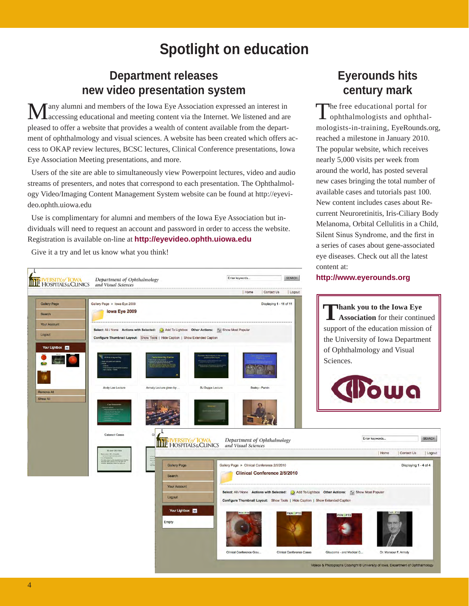# **Spotlight on education**

### **Department releases new video presentation system**

any alumni and members of the Iowa Eye Association expressed an interest in accessing educational and meeting content via the Internet. We listened and are pleased to offer a website that provides a wealth of content available from the department of ophthalmology and visual sciences. A website has been created which offers access to OKAP review lectures, BCSC lectures, Clinical Conference presentations, Iowa Eye Association Meeting presentations, and more.

Users of the site are able to simultaneously view Powerpoint lectures, video and audio streams of presenters, and notes that correspond to each presentation. The Ophthalmology Video/Imaging Content Management System website can be found at http://eyevideo.ophth.uiowa.edu

Use is complimentary for alumni and members of the Iowa Eye Association but individuals will need to request an account and password in order to access the website. Registration is available on-line at **http://eyevideo.ophth.uiowa.edu**

Give it a try and let us know what you think!

# **Eyerounds hits century mark**

The free educational portal for ophthalmologists and ophthalmologists-in-training, EyeRounds.org, reached a milestone in January 2010. The popular website, which receives nearly 5,000 visits per week from around the world, has posted several new cases bringing the total number of available cases and tutorials past 100. New content includes cases about Recurrent Neuroretinitis, Iris-Ciliary Body Melanoma, Orbital Cellulitis in a Child, Silent Sinus Syndrome, and the first in a series of cases about gene-associated eye diseases. Check out all the latest content at:

#### **Enter keywords** SEARCH Department of Ophthalmology **THE HOSPITALS&CLINICS** and Visual Sciences | Contact Us Logout | Home Gallery Page Gallery Page > lowa Eve 2009 Displaying 1 - 11 of 11 lowa Eye 2009 Search Your Account Select: All / None Actions with Selected: (2) Add To Lightbox Other Actions: (2) Show Most Popula Logout Configure Thumbnail Layout: Show Tools | Hide Caption | Show Extended Caption **Your Lightbox**  $\overline{\mathbf{v}}$ Sciences. **B.I.Dunne Lecture** Andy Lee Lectus **Armaly Lecture given by** Show All Enter keywords. Department of Ophthalmology **THE HOSPITALS&CLINICS** and Visual Sciences Gallery Page > Clinical Conference 2/5/2010 Gallery Page Clinical Conference 2/5/2010 Search Your Account Select: All / None Actions with Selected: (2) Add To Lightbox Other Actions: (2) Show Most Popular Logout Configure Thumbnail Lavout: Show Tools | Hide Caption | Show Extended Caption Your Lightbox V Empty Clinical Conference Glau. Clinical Conference Cases Glaucoma - and Medical C. Videos & Photographs Copyright @ University of Iowa, Department of Ophthalmology

**http://www.eyerounds.org**

**Thank you to the Iowa Eye Association** for their continued support of the education mission of the University of Iowa Department of Ophthalmology and Visual



| Home

Dr. Mansour F. Armaly

| Contact Us

Displaying 1 - 4 of 4

SEARCH

Logout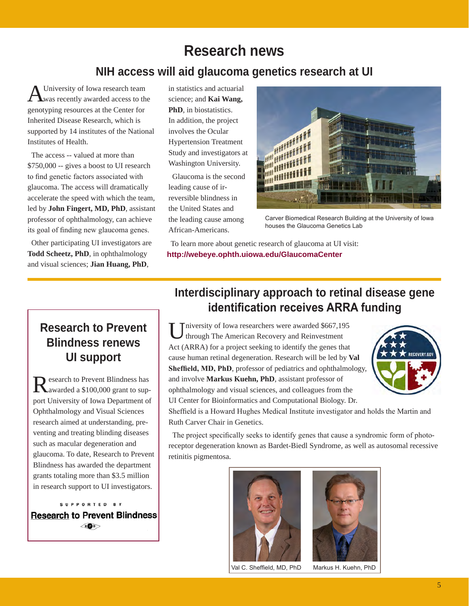# **Research news**

### **NIH access will aid glaucoma genetics research at UI**

University of Iowa research team **L**was recently awarded access to the genotyping resources at the Center for Inherited Disease Research, which is supported by 14 institutes of the National Institutes of Health.

The access -- valued at more than \$750,000 -- gives a boost to UI research to find genetic factors associated with glaucoma. The access will dramatically accelerate the speed with which the team, led by **John Fingert, MD, PhD**, assistant professor of ophthalmology, can achieve its goal of finding new glaucoma genes.

Other participating UI investigators are **Todd Scheetz, PhD**, in ophthalmology and visual sciences; **Jian Huang, PhD**,

in statistics and actuarial science; and **Kai Wang, PhD**, in biostatistics. In addition, the project involves the Ocular Hypertension Treatment Study and investigators at Washington University.

Glaucoma is the second leading cause of irreversible blindness in the United States and the leading cause among African-Americans.



Carver Biomedical Research Building at the University of Iowa houses the Glaucoma Genetics Lab

To learn more about genetic research of glaucoma at UI visit: **http://webeye.ophth.uiowa.edu/GlaucomaCenter**

# **Research to Prevent Blindness renews UI support**

Research to Prevent Blindness has awarded a \$100,000 grant to support University of Iowa Department of Ophthalmology and Visual Sciences research aimed at understanding, preventing and treating blinding diseases such as macular degeneration and glaucoma. To date, Research to Prevent Blindness has awarded the department grants totaling more than \$3.5 million in research support to UI investigators.

SUPPORTED BY **Research to Prevent Blindness**  $R$ **O**B

# **Interdisciplinary approach to retinal disease gene identification receives ARRA funding**

University of Iowa researchers were awarded \$667,195 through The American Recovery and Reinvestment Act (ARRA) for a project seeking to identify the genes that cause human retinal degeneration. Research will be led by **Val Sheffield, MD, PhD**, professor of pediatrics and ophthalmology, and involve **Markus Kuehn, PhD**, assistant professor of ophthalmology and visual sciences, and colleagues from the UI Center for Bioinformatics and Computational Biology. Dr.



Sheffield is a Howard Hughes Medical Institute investigator and holds the Martin and Ruth Carver Chair in Genetics.

The project specifically seeks to identify genes that cause a syndromic form of photoreceptor degeneration known as Bardet-Biedl Syndrome, as well as autosomal recessive retinitis pigmentosa.



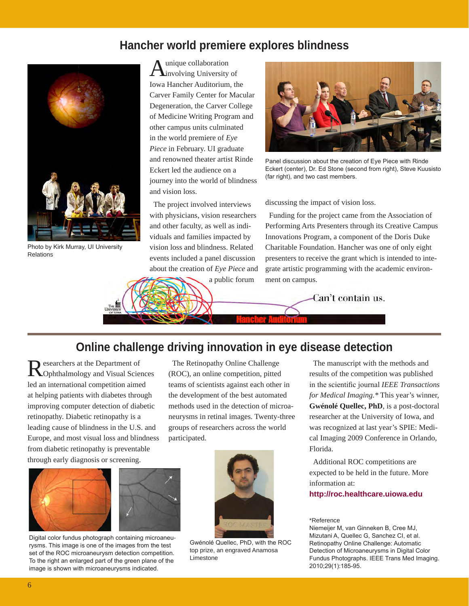#### **Hancher world premiere explores blindness**



Photo by Kirk Murray, UI University Relations

Aunique collaboration<br>
Minvolving University of Iowa Hancher Auditorium, the Carver Family Center for Macular Degeneration, the Carver College of Medicine Writing Program and other campus units culminated in the world premiere of *Eye Piece* in February. UI graduate and renowned theater artist Rinde Eckert led the audience on a journey into the world of blindness and vision loss.

The project involved interviews with physicians, vision researchers and other faculty, as well as individuals and families impacted by vision loss and blindness. Related events included a panel discussion about the creation of *Eye Piece* and

a public forum



Panel discussion about the creation of Eye Piece with Rinde Eckert (center), Dr. Ed Stone (second from right), Steve Kuusisto (far right), and two cast members.

#### discussing the impact of vision loss.

Funding for the project came from the Association of Performing Arts Presenters through its Creative Campus Innovations Program, a component of the Doris Duke Charitable Foundation. Hancher was one of only eight presenters to receive the grant which is intended to integrate artistic programming with the academic environment on campus.

Can't contain us.

#### **Online challenge driving innovation in eye disease detection**

Researchers at the Department of Ophthalmology and Visual Sciences led an international competition aimed at helping patients with diabetes through improving computer detection of diabetic retinopathy. Diabetic retinopathy is a leading cause of blindness in the U.S. and Europe, and most visual loss and blindness from diabetic retinopathy is preventable through early diagnosis or screening.

The Retinopathy Online Challenge (ROC), an online competition, pitted teams of scientists against each other in the development of the best automated methods used in the detection of microaneurysms in retinal images. Twenty-three groups of researchers across the world participated.



Digital color fundus photograph containing microaneurysms. This image is one of the images from the test set of the ROC microaneurysm detection competition. To the right an enlarged part of the green plane of the image is shown with microaneurysms indicated.



Gwénolé Quellec, PhD, with the ROC top prize, an engraved Anamosa Limestone

The manuscript with the methods and results of the competition was published in the scientific journal *IEEE Transactions for Medical Imaging.\** This year's winner, **Gwénolé Quellec, PhD**, is a post-doctoral researcher at the University of Iowa, and was recognized at last year's SPIE: Medical Imaging 2009 Conference in Orlando, Florida.

Additional ROC competitions are expected to be held in the future. More information at:

**http://roc.healthcare.uiowa.edu**

#### \*Reference

Niemeijer M, van Ginneken B, Cree MJ, Mizutani A, Quellec G, Sanchez CI, et al. Retinopathy Online Challenge: Automatic Detection of Microaneurysms in Digital Color Fundus Photographs. IEEE Trans Med Imaging. 2010;29(1):185-95.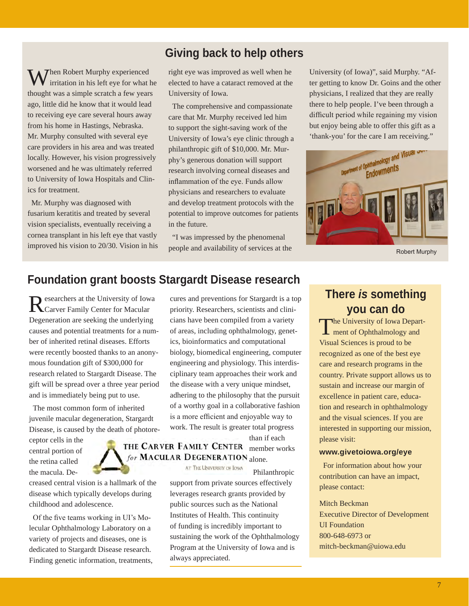### **Giving back to help others**

**Then Robert Murphy experienced** irritation in his left eye for what he thought was a simple scratch a few years ago, little did he know that it would lead to receiving eye care several hours away from his home in Hastings, Nebraska. Mr. Murphy consulted with several eye care providers in his area and was treated locally. However, his vision progressively worsened and he was ultimately referred to University of Iowa Hospitals and Clinics for treatment.

Mr. Murphy was diagnosed with fusarium keratitis and treated by several vision specialists, eventually receiving a cornea transplant in his left eye that vastly improved his vision to 20/30. Vision in his right eye was improved as well when he elected to have a cataract removed at the University of Iowa.

The comprehensive and compassionate care that Mr. Murphy received led him to support the sight-saving work of the University of Iowa's eye clinic through a philanthropic gift of \$10,000. Mr. Murphy's generous donation will support research involving corneal diseases and inflammation of the eye. Funds allow physicians and researchers to evaluate and develop treatment protocols with the potential to improve outcomes for patients in the future.

"I was impressed by the phenomenal people and availability of services at the University (of Iowa)", said Murphy. "After getting to know Dr. Goins and the other physicians, I realized that they are really there to help people. I've been through a difficult period while regaining my vision but enjoy being able to offer this gift as a 'thank-you' for the care I am receiving."



Robert Murphy

# **Foundation grant boosts Stargardt Disease research**

Researchers at the University of Iowa Carver Family Center for Macular Degeneration are seeking the underlying causes and potential treatments for a number of inherited retinal diseases. Efforts were recently boosted thanks to an anonymous foundation gift of \$300,000 for research related to Stargardt Disease. The gift will be spread over a three year period and is immediately being put to use.

The most common form of inherited juvenile macular degeneration, Stargardt Disease, is caused by the death of photore-

ceptor cells in the central portion of the retina called the macula. De-

creased central vision is a hallmark of the disease which typically develops during childhood and adolescence.

Of the five teams working in UI's Molecular Ophthalmology Laboratory on a variety of projects and diseases, one is dedicated to Stargardt Disease research. Finding genetic information, treatments,



than if each

THE CARVER FAMILY CENTER member works for MACULAR DEGENERATION alone.

AT THE UNIVERSITY OF IOWA

#### Philanthropic

support from private sources effectively leverages research grants provided by public sources such as the National Institutes of Health. This continuity of funding is incredibly important to sustaining the work of the Ophthalmology Program at the University of Iowa and is always appreciated.

# **There** *is* **something you can do**

The University of Iowa Department of Ophthalmology and Visual Sciences is proud to be recognized as one of the best eye care and research programs in the country. Private support allows us to sustain and increase our margin of excellence in patient care, education and research in ophthalmology and the visual sciences. If you are interested in supporting our mission, please visit:

#### **www.givetoiowa.org/eye**

For information about how your contribution can have an impact, please contact:

#### Mitch Beckman

Executive Director of Development UI Foundation 800-648-6973 or mitch-beckman@uiowa.edu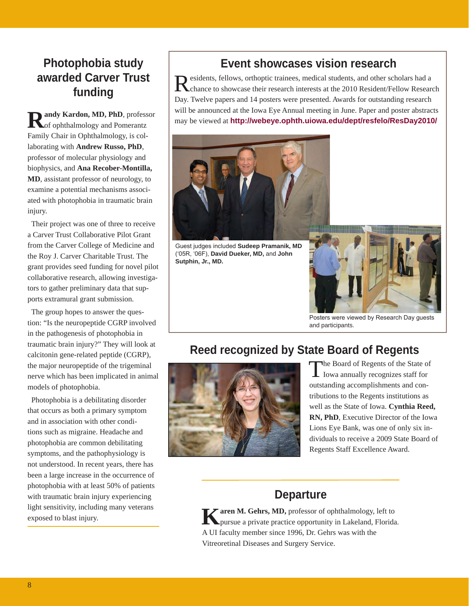# **Photophobia study awarded Carver Trust funding**

andy Kardon, MD, PhD, professor of ophthalmology and Pomerantz Family Chair in Ophthalmology, is collaborating with **Andrew Russo, PhD**, professor of molecular physiology and biophysics, and **Ana Recober-Montilla, MD**, assistant professor of neurology, to examine a potential mechanisms associated with photophobia in traumatic brain injury.

Their project was one of three to receive a Carver Trust Collaborative Pilot Grant from the Carver College of Medicine and the Roy J. Carver Charitable Trust. The grant provides seed funding for novel pilot collaborative research, allowing investigators to gather preliminary data that supports extramural grant submission.

The group hopes to answer the question: "Is the neuropeptide CGRP involved in the pathogenesis of photophobia in traumatic brain injury?" They will look at calcitonin gene-related peptide (CGRP), the major neuropeptide of the trigeminal nerve which has been implicated in animal models of photophobia.

Photophobia is a debilitating disorder that occurs as both a primary symptom and in association with other conditions such as migraine. Headache and photophobia are common debilitating symptoms, and the pathophysiology is not understood. In recent years, there has been a large increase in the occurrence of photophobia with at least 50% of patients with traumatic brain injury experiencing light sensitivity, including many veterans exposed to blast injury.

# **Event showcases vision research**

Residents, fellows, orthoptic trainees, medical students, and other scholars had a chance to showcase their research interests at the 2010 Resident/Fellow Research Day. Twelve papers and 14 posters were presented. Awards for outstanding research will be announced at the Iowa Eye Annual meeting in June. Paper and poster abstracts may be viewed at **http://webeye.ophth.uiowa.edu/dept/resfelo/ResDay2010/** 



Guest judges included **Sudeep Pramanik, MD** ('05R, '06F), **David Dueker, MD,** and **John Sutphin, Jr., MD.**



Posters were viewed by Research Day guests and participants.

# **Reed recognized by State Board of Regents**



The Board of Regents of the State of<br>Iowa annually recognizes staff for outstanding accomplishments and contributions to the Regents institutions as well as the State of Iowa. **Cynthia Reed, RN, PhD**, Executive Director of the Iowa Lions Eye Bank, was one of only six individuals to receive a 2009 State Board of Regents Staff Excellence Award.

#### **Departure**

**K**aren M. Gehrs, MD, professor of ophthalmology, left to pursue a private practice opportunity in Lakeland, Florida. A UI faculty member since 1996, Dr. Gehrs was with the Vitreoretinal Diseases and Surgery Service.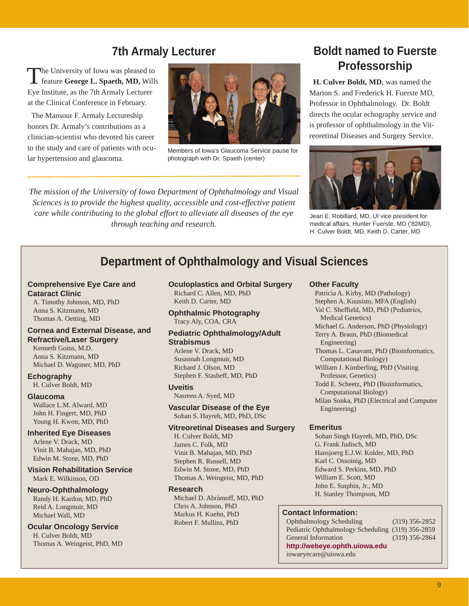### **7th Armaly Lecturer**

The University of Iowa was pleased to feature **George L. Spaeth, MD,** Wills Eye Institute, as the 7th Armaly Lecturer at the Clinical Conference in February.

The Mansour F. Armaly Lectureship honors Dr. Armaly's contributions as a clinician-scientist who devoted his career to the study and care of patients with ocular hypertension and glaucoma.



Members of Iowa's Glaucoma Service pause for photograph with Dr. Spaeth (center)

*The mission of the University of Iowa Department of Ophthalmology and Visual Sciences is to provide the highest quality, accessible and cost-effective patient care while contributing to the global effort to alleviate all diseases of the eye through teaching and research.*

# **Boldt named to Fuerste Professorship**

**H. Culver Boldt, MD**, was named the Marion S. and Frederick H. Fuerste MD, Professor in Ophthalmology. Dr. Boldt directs the ocular echography service and is professor of ophthalmology in the Vitreoretinal Diseases and Surgery Service.



Jean E. Robillard, MD, UI vice president for medical affairs, Hunter Fuerste, MD ('82MD), H. Culver Boldt, MD, Keith D. Carter, MD

# **Department of Ophthalmology and Visual Sciences**

#### **Comprehensive Eye Care and Cataract Clinic**

A. Timothy Johnson, MD, PhD Anna S. Kitzmann, MD Thomas A. Oetting, MD

#### **Cornea and External Disease, and Refractive/Laser Surgery**

Kenneth Goins, M.D. Anna S. Kitzmann, MD Michael D. Wagoner, MD, PhD

#### **Echography**

H. Culver Boldt, MD

#### **Glaucoma**

Wallace L.M. Alward, MD John H. Fingert, MD, PhD Young H. Kwon, MD, PhD

#### **Inherited Eye Diseases**

Arlene V. Drack, MD Vinit B. Mahajan, MD, PhD Edwin M. Stone, MD, PhD

**Vision Rehabilitation Service** Mark E. Wilkinson, OD

#### **Neuro-Ophthalmology**

Randy H. Kardon, MD, PhD Reid A. Longmuir, MD Michael Wall, MD

#### **Ocular Oncology Service** H. Culver Boldt, MD

Thomas A. Weingeist, PhD, MD

#### **Oculoplastics and Orbital Surgery** Richard C. Allen, MD, PhD Keith D. Carter, MD

**Ophthalmic Photography** Tracy Aly, COA, CRA

#### **Pediatric Ophthalmology/Adult Strabismus**

Arlene V. Drack, MD Susannah Longmuir, MD Richard J. Olson, MD Stephen F. Stasheff, MD, PhD

#### **Uveitis**

Nasreen A. Syed, MD

**Vascular Disease of the Eye** Sohan S. Hayreh, MD, PhD, DSc

#### **Vitreoretinal Diseases and Surgery**

H. Culver Boldt, MD James C. Folk, MD Vinit B. Mahajan, MD, PhD Stephen R. Russell, MD Edwin M. Stone, MD, PhD Thomas A. Weingeist, MD, PhD

#### **Research**

Michael D. Abràmoff, MD, PhD Chris A. Johnson, PhD Markus H. Kuehn, PhD Robert F. Mullins, PhD

#### **Other Faculty**

Patricia A. Kirby, MD (Pathology) Stephen A. Kuusisto, MFA (English) Val C. Sheffield, MD, PhD (Pediatrics, Medical Genetics) Michael G. Anderson, PhD (Physiology) Terry A. Braun, PhD (Biomedical Engineering) Thomas L. Casavant, PhD (Bioinformatics, Computational Biology) William J. Kimberling, PhD (Visiting Professor, Genetics) Todd E. Scheetz, PhD (Bioinformatics, Computational Biology) Milan Sonka, PhD (Electrical and Computer Engineering)

#### **Emeritus**

Sohan Singh Hayreh, MD, PhD, DSc G. Frank Judisch, MD Hansjoerg E.J.W. Kolder, MD, PhD Karl C. Ossoinig, MD Edward S. Perkins, MD, PhD William E. Scott, MD John E. Sutphin, Jr., MD H. Stanley Thompson, MD

#### **Contact Information:**

Ophthalmology Scheduling (319) 356-2852 Pediatric Ophthalmology Scheduling (319) 356-2859 General Information (319) 356-2864 **http://webeye.ophth.uiowa.edu** iowaeyecare@uiowa.edu

9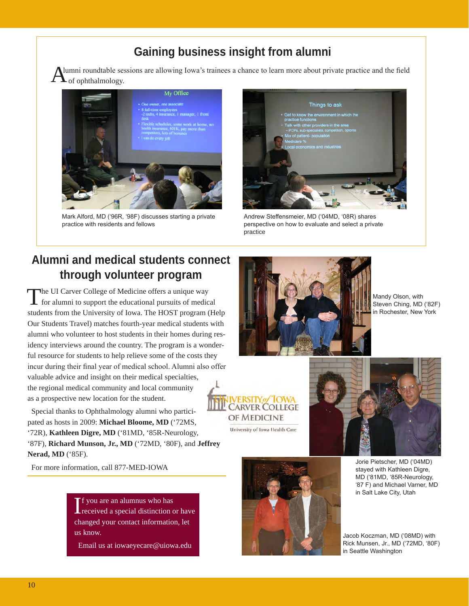# **Gaining business insight from alumni**

lumni roundtable sessions are allowing Iowa's trainees a chance to learn more about private practice and the field  $\bullet$  of ophthalmology.



Mark Alford, MD ('96R, '98F) discusses starting a private practice with residents and fellows



Andrew Steffensmeier, MD ('04MD, '08R) shares perspective on how to evaluate and select a private practice

# **Alumni and medical students connect through volunteer program**

The UI Carver College of Medicine offers a unique way for alumni to support the educational pursuits of medical students from the University of Iowa. The HOST program (Help Our Students Travel) matches fourth-year medical students with alumni who volunteer to host students in their homes during residency interviews around the country. The program is a wonderful resource for students to help relieve some of the costs they incur during their final year of medical school. Alumni also offer valuable advice and insight on their medical specialties, the regional medical community and local community as a prospective new location for the student.

Special thanks to Ophthalmology alumni who participated as hosts in 2009: **Michael Bloome, MD** ('72MS, '72R), **Kathleen Digre, MD** ('81MD, '85R-Neurology, '87F), **Richard Munson, Jr., MD** ('72MD, '80F), and **Jeffrey Nerad, MD** ('85F).

For more information, call 877-MED-IOWA

If you are an alumnus who has<br>
received a special distinction or have f you are an alumnus who has changed your contact information, let us know.

Email us at iowaeyecare@uiowa.edu



Mandy Olson, with Steven Ching, MD ('82F) in Rochester, New York







Jorie Pietscher, MD ('04MD) stayed with Kathleen Digre, MD ('81MD, '85R-Neurology, '87 F) and Michael Varner, MD in Salt Lake City, Utah

Jacob Koczman, MD ('08MD) with Rick Munsen, Jr., MD ('72MD, '80F) in Seattle Washington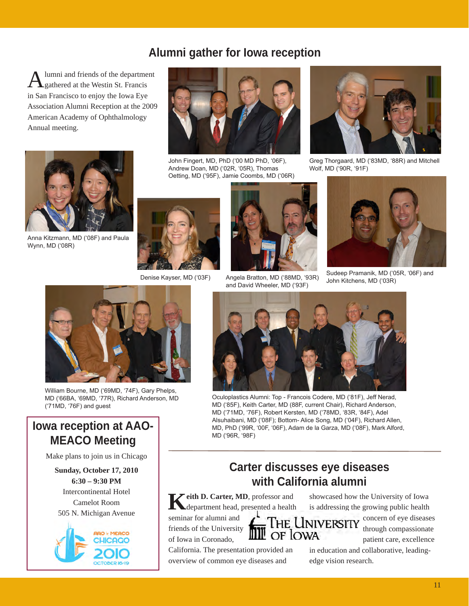# **Alumni gather for Iowa reception**

lumni and friends of the department gathered at the Westin St. Francis in San Francisco to enjoy the Iowa Eye Association Alumni Reception at the 2009 American Academy of Ophthalmology Annual meeting.



John Fingert, MD, PhD ('00 MD PhD, '06F), Andrew Doan, MD ('02R, '05R), Thomas Oetting, MD ('95F), Jamie Coombs, MD ('06R)



Greg Thorgaard, MD ('83MD, '88R) and Mitchell Wolf, MD ('90R, '91F)



Anna Kitzmann, MD ('08F) and Paula Wynn, MD ('08R)



Denise Kayser, MD ('03F)



Angela Bratton, MD ('88MD, '93R) and David Wheeler, MD ('93F)



John Kitchens, MD ('03R)



William Bourne, MD ('69MD, '74F), Gary Phelps, MD ('66BA, '69MD, '77R), Richard Anderson, MD ('71MD, '76F) and guest

# **Iowa reception at AAO-MEACO Meeting**

Make plans to join us in Chicago

**Sunday, October 17, 2010 6:30 – 9:30 PM** Intercontinental Hotel Camelot Room 505 N. Michigan Avenue





Oculoplastics Alumni: Top - Francois Codere, MD ('81F), Jeff Nerad, MD ('85F), Keith Carter, MD (88F, current Chair), Richard Anderson, MD ('71MD, '76F), Robert Kersten, MD ('78MD, '83R, '84F), Adel Alsuhaibani, MD ('08F); Bottom- Alice Song, MD ('04F), Richard Allen, MD, PhD ('99R, '00F, '06F), Adam de la Garza, MD ('08F), Mark Alford, MD ('96R, '98F)

### **Carter discusses eye diseases with California alumni**

Teith D. Carter, MD, professor and department head, presented a health

seminar for alumni and friends of the University of Iowa in Coronado,

California. The presentation provided an overview of common eye diseases and

showcased how the University of Iowa is addressing the growing public health



concern of eye diseases through compassionate patient care, excellence

in education and collaborative, leadingedge vision research.